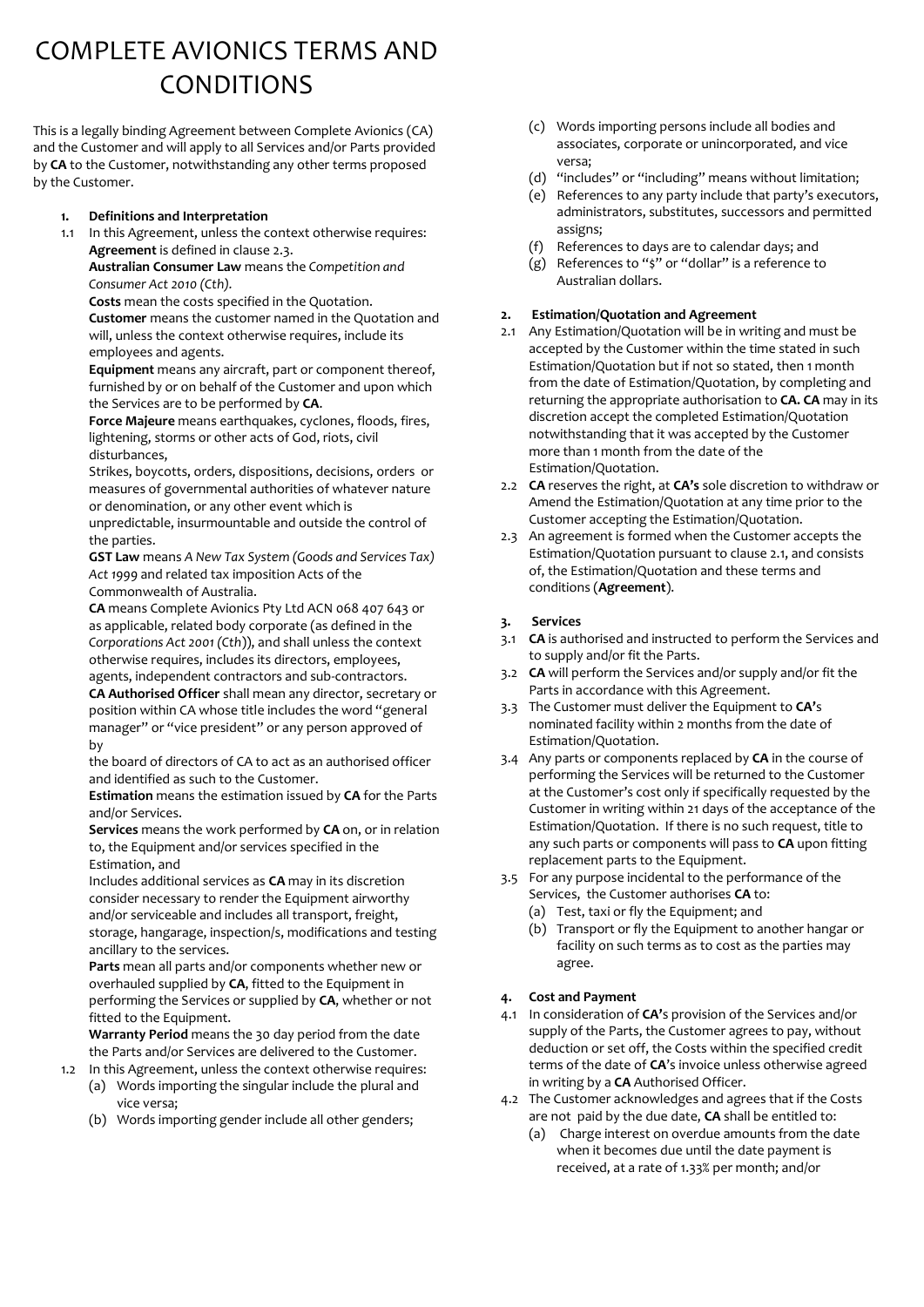# COMPLETE AVIONICS TERMS AND CONDITIONS

This is a legally binding Agreement between Complete Avionics (CA) and the Customer and will apply to all Services and/or Parts provided by **CA** to the Customer, notwithstanding any other terms proposed by the Customer.

#### **1. Definitions and Interpretation**

1.1 In this Agreement, unless the context otherwise requires: **Agreement** is defined in clause 2.3.

**Australian Consumer Law** means the *Competition and Consumer Act 2010 (Cth).*

**Costs** mean the costs specified in the Quotation.

**Customer** means the customer named in the Quotation and will, unless the context otherwise requires, include its employees and agents.

**Equipment** means any aircraft, part or component thereof, furnished by or on behalf of the Customer and upon which the Services are to be performed by **CA**.

**Force Majeure** means earthquakes, cyclones, floods, fires, lightening, storms or other acts of God, riots, civil disturbances,

Strikes, boycotts, orders, dispositions, decisions, orders or measures of governmental authorities of whatever nature or denomination, or any other event which is

unpredictable, insurmountable and outside the control of the parties.

**GST Law** means *A New Tax System (Goods and Services Tax) Act 1999* and related tax imposition Acts of the Commonwealth of Australia.

**CA** means Complete Avionics Pty Ltd ACN 068 407 643 or as applicable, related body corporate (as defined in the *Corporations Act 2001 (Cth*)), and shall unless the context otherwise requires, includes its directors, employees, agents, independent contractors and sub-contractors.

**CA Authorised Officer** shall mean any director, secretary or position within CA whose title includes the word "general manager" or "vice president" or any person approved of by

the board of directors of CA to act as an authorised officer and identified as such to the Customer.

**Estimation** means the estimation issued by **CA** for the Parts and/or Services.

**Services** means the work performed by **CA** on, or in relation to, the Equipment and/or services specified in the Estimation, and

Includes additional services as **CA** may in its discretion consider necessary to render the Equipment airworthy and/or serviceable and includes all transport, freight, storage, hangarage, inspection/s, modifications and testing ancillary to the services.

**Parts** mean all parts and/or components whether new or overhauled supplied by **CA**, fitted to the Equipment in performing the Services or supplied by **CA**, whether or not fitted to the Equipment.

**Warranty Period** means the 30 day period from the date the Parts and/or Services are delivered to the Customer.

- 1.2 In this Agreement, unless the context otherwise requires: (a) Words importing the singular include the plural and vice versa;
	- (b) Words importing gender include all other genders;
- (c) Words importing persons include all bodies and associates, corporate or unincorporated, and vice versa;
- (d) "includes" or "including" means without limitation;
- (e) References to any party include that party's executors, administrators, substitutes, successors and permitted assigns;
- (f) References to days are to calendar days; and
- (g) References to "\$" or "dollar" is a reference to Australian dollars.

#### **2. Estimation/Quotation and Agreement**

- 2.1 Any Estimation/Quotation will be in writing and must be accepted by the Customer within the time stated in such Estimation/Quotation but if not so stated, then 1 month from the date of Estimation/Quotation, by completing and returning the appropriate authorisation to **CA. CA** may in its discretion accept the completed Estimation/Quotation notwithstanding that it was accepted by the Customer more than 1 month from the date of the Estimation/Quotation.
- 2.2 **CA** reserves the right, at **CA's** sole discretion to withdraw or Amend the Estimation/Quotation at any time prior to the Customer accepting the Estimation/Quotation.
- 2.3 An agreement is formed when the Customer accepts the Estimation/Quotation pursuant to clause 2.1, and consists of, the Estimation/Quotation and these terms and conditions (**Agreement**).

#### **3. Services**

- 3.1 **CA** is authorised and instructed to perform the Services and to supply and/or fit the Parts.
- 3.2 **CA** will perform the Services and/or supply and/or fit the Parts in accordance with this Agreement.
- 3.3 The Customer must deliver the Equipment to **CA'**s nominated facility within 2 months from the date of Estimation/Quotation.
- 3.4 Any parts or components replaced by **CA** in the course of performing the Services will be returned to the Customer at the Customer's cost only if specifically requested by the Customer in writing within 21 days of the acceptance of the Estimation/Quotation. If there is no such request, title to any such parts or components will pass to **CA** upon fitting replacement parts to the Equipment.
- 3.5 For any purpose incidental to the performance of the
	- Services, the Customer authorises **CA** to:
	- (a) Test, taxi or fly the Equipment; and
	- (b) Transport or fly the Equipment to another hangar or facility on such terms as to cost as the parties may agree.

## **4. Cost and Payment**

- 4.1 In consideration of **CA'**s provision of the Services and/or supply of the Parts, the Customer agrees to pay, without deduction or set off, the Costs within the specified credit terms of the date of **CA**'s invoice unless otherwise agreed in writing by a **CA** Authorised Officer.
- 4.2 The Customer acknowledges and agrees that if the Costs are not paid by the due date, **CA** shall be entitled to:
	- (a) Charge interest on overdue amounts from the date when it becomes due until the date payment is received, at a rate of 1.33% per month; and/or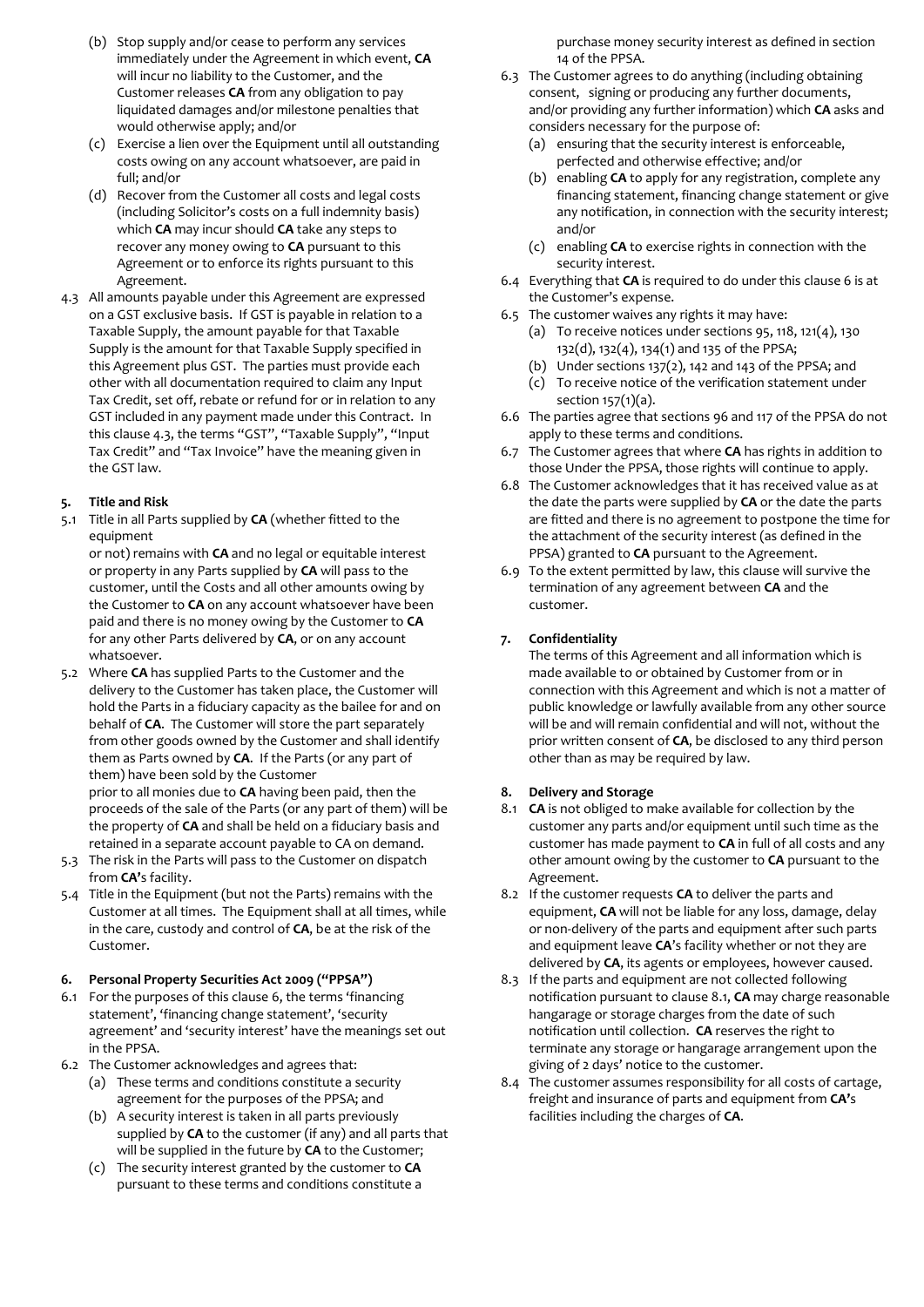- (b) Stop supply and/or cease to perform any services immediately under the Agreement in which event, **CA** will incur no liability to the Customer, and the Customer releases **CA** from any obligation to pay liquidated damages and/or milestone penalties that would otherwise apply; and/or
- (c) Exercise a lien over the Equipment until all outstanding costs owing on any account whatsoever, are paid in full; and/or
- (d) Recover from the Customer all costs and legal costs (including Solicitor's costs on a full indemnity basis) which **CA** may incur should **CA** take any steps to recover any money owing to **CA** pursuant to this Agreement or to enforce its rights pursuant to this Agreement.
- 4.3 All amounts payable under this Agreement are expressed on a GST exclusive basis. If GST is payable in relation to a Taxable Supply, the amount payable for that Taxable Supply is the amount for that Taxable Supply specified in this Agreement plus GST. The parties must provide each other with all documentation required to claim any Input Tax Credit, set off, rebate or refund for or in relation to any GST included in any payment made under this Contract. In this clause 4.3, the terms "GST", "Taxable Supply", "Input Tax Credit" and "Tax Invoice" have the meaning given in the GST law.

# **5. Title and Risk**

5.1 Title in all Parts supplied by **CA** (whether fitted to the equipment

or not) remains with **CA** and no legal or equitable interest or property in any Parts supplied by **CA** will pass to the customer, until the Costs and all other amounts owing by the Customer to **CA** on any account whatsoever have been paid and there is no money owing by the Customer to **CA** for any other Parts delivered by **CA**, or on any account whatsoever.

- 5.2 Where **CA** has supplied Parts to the Customer and the delivery to the Customer has taken place, the Customer will hold the Parts in a fiduciary capacity as the bailee for and on behalf of **CA**. The Customer will store the part separately from other goods owned by the Customer and shall identify them as Parts owned by **CA**. If the Parts (or any part of them) have been sold by the Customer prior to all monies due to **CA** having been paid, then the proceeds of the sale of the Parts (or any part of them) will be the property of **CA** and shall be held on a fiduciary basis and retained in a separate account payable to CA on demand.
- 5.3 The risk in the Parts will pass to the Customer on dispatch from **CA'**s facility.
- 5.4 Title in the Equipment (but not the Parts) remains with the Customer at all times. The Equipment shall at all times, while in the care, custody and control of **CA**, be at the risk of the Customer.

#### **6. Personal Property Securities Act 2009 ("PPSA")**

- 6.1 For the purposes of this clause 6, the terms 'financing statement', 'financing change statement', 'security agreement' and 'security interest' have the meanings set out in the PPSA.
- 6.2 The Customer acknowledges and agrees that:
	- (a) These terms and conditions constitute a security agreement for the purposes of the PPSA; and
	- (b) A security interest is taken in all parts previously supplied by **CA** to the customer (if any) and all parts that will be supplied in the future by **CA** to the Customer;
	- (c) The security interest granted by the customer to **CA**  pursuant to these terms and conditions constitute a

purchase money security interest as defined in section 14 of the PPSA.

- 6.3 The Customer agrees to do anything (including obtaining consent, signing or producing any further documents, and/or providing any further information) which **CA** asks and considers necessary for the purpose of:
	- (a) ensuring that the security interest is enforceable, perfected and otherwise effective; and/or
	- (b) enabling **CA** to apply for any registration, complete any financing statement, financing change statement or give any notification, in connection with the security interest; and/or
	- (c) enabling **CA** to exercise rights in connection with the security interest.
- 6.4 Everything that **CA** is required to do under this clause 6 is at the Customer's expense.
- 6.5 The customer waives any rights it may have:
	- (a) To receive notices under sections 95, 118, 121 $(4)$ , 130 132(d), 132(4), 134(1) and 135 of the PPSA;
	- (b) Under sections  $137(2)$ , 142 and 143 of the PPSA; and
	- (c) To receive notice of the verification statement under section 157(1)(a).
- 6.6 The parties agree that sections 96 and 117 of the PPSA do not apply to these terms and conditions.
- 6.7 The Customer agrees that where **CA** has rights in addition to those Under the PPSA, those rights will continue to apply.
- 6.8 The Customer acknowledges that it has received value as at the date the parts were supplied by **CA** or the date the parts are fitted and there is no agreement to postpone the time for the attachment of the security interest (as defined in the PPSA) granted to **CA** pursuant to the Agreement.
- 6.9 To the extent permitted by law, this clause will survive the termination of any agreement between **CA** and the customer.

# **7. Confidentiality**

The terms of this Agreement and all information which is made available to or obtained by Customer from or in connection with this Agreement and which is not a matter of public knowledge or lawfully available from any other source will be and will remain confidential and will not, without the prior written consent of **CA**, be disclosed to any third person other than as may be required by law.

## **8. Delivery and Storage**

- 8.1 **CA** is not obliged to make available for collection by the customer any parts and/or equipment until such time as the customer has made payment to **CA** in full of all costs and any other amount owing by the customer to **CA** pursuant to the Agreement.
- 8.2 If the customer requests **CA** to deliver the parts and equipment, **CA** will not be liable for any loss, damage, delay or non-delivery of the parts and equipment after such parts and equipment leave **CA**'s facility whether or not they are delivered by **CA**, its agents or employees, however caused.
- 8.3 If the parts and equipment are not collected following notification pursuant to clause 8.1, **CA** may charge reasonable hangarage or storage charges from the date of such notification until collection. **CA** reserves the right to terminate any storage or hangarage arrangement upon the giving of 2 days' notice to the customer.
- 8.4 The customer assumes responsibility for all costs of cartage, freight and insurance of parts and equipment from **CA'**s facilities including the charges of **CA**.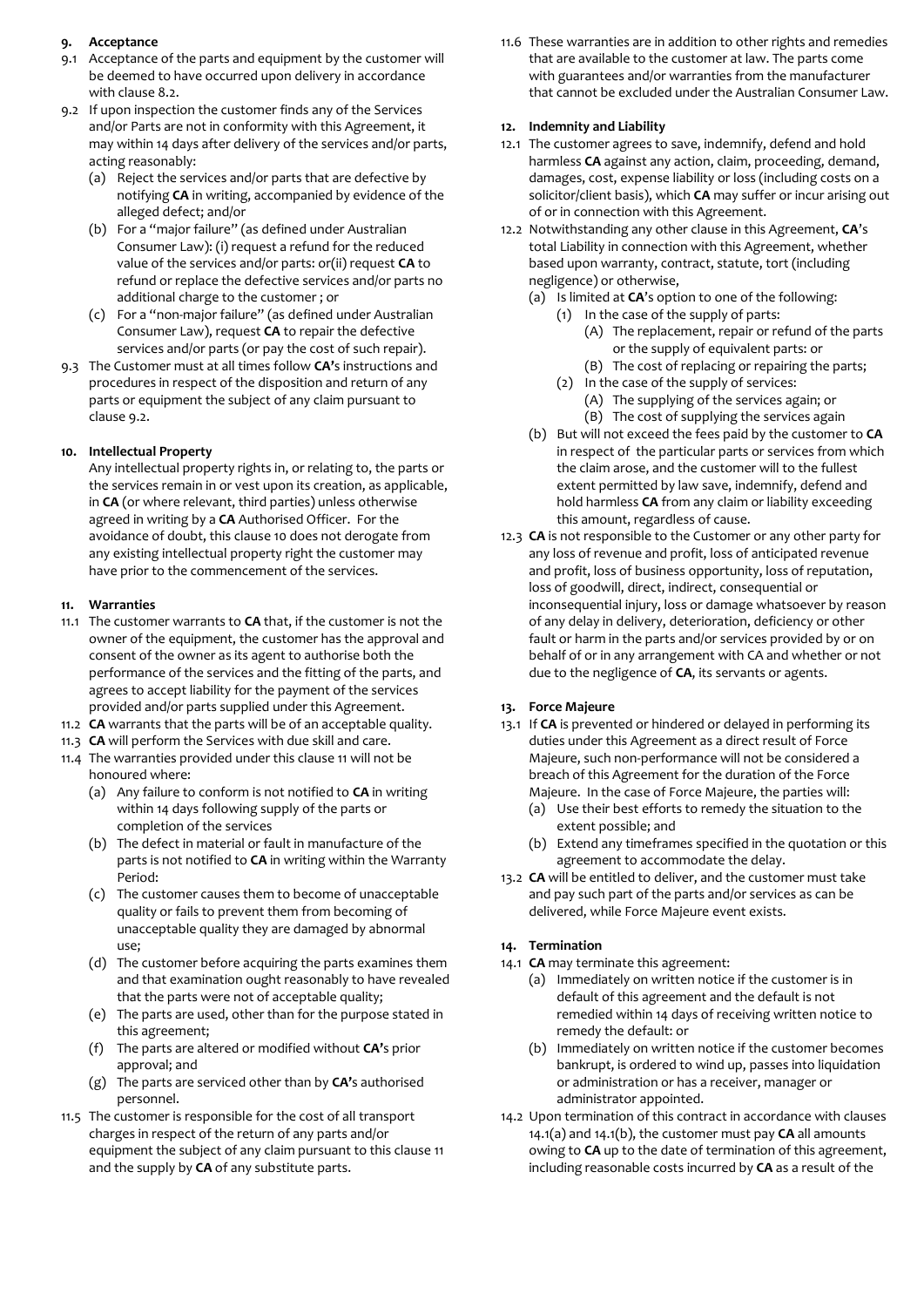## **9. Acceptance**

- 9.1 Acceptance of the parts and equipment by the customer will be deemed to have occurred upon delivery in accordance with clause 8.2.
- 9.2 If upon inspection the customer finds any of the Services and/or Parts are not in conformity with this Agreement, it may within 14 days after delivery of the services and/or parts, acting reasonably:
	- (a) Reject the services and/or parts that are defective by notifying **CA** in writing, accompanied by evidence of the alleged defect; and/or
	- (b) For a "major failure" (as defined under Australian Consumer Law): (i) request a refund for the reduced value of the services and/or parts: or(ii) request **CA** to refund or replace the defective services and/or parts no additional charge to the customer ; or
	- (c) For a "non-major failure" (as defined under Australian Consumer Law), request **CA** to repair the defective services and/or parts (or pay the cost of such repair).
- 9.3 The Customer must at all times follow **CA'**s instructions and procedures in respect of the disposition and return of any parts or equipment the subject of any claim pursuant to clause 9.2.

# **10. Intellectual Property**

Any intellectual property rights in, or relating to, the parts or the services remain in or vest upon its creation, as applicable, in **CA** (or where relevant, third parties) unless otherwise agreed in writing by a **CA** Authorised Officer. For the avoidance of doubt, this clause 10 does not derogate from any existing intellectual property right the customer may have prior to the commencement of the services.

## **11. Warranties**

- 11.1 The customer warrants to **CA** that, if the customer is not the owner of the equipment, the customer has the approval and consent of the owner as its agent to authorise both the performance of the services and the fitting of the parts, and agrees to accept liability for the payment of the services provided and/or parts supplied under this Agreement.
- 11.2 **CA** warrants that the parts will be of an acceptable quality.
- 11.3 **CA** will perform the Services with due skill and care.
- 11.4 The warranties provided under this clause 11 will not be honoured where:
	- (a) Any failure to conform is not notified to **CA** in writing within 14 days following supply of the parts or completion of the services
	- (b) The defect in material or fault in manufacture of the parts is not notified to **CA** in writing within the Warranty Period:
	- (c) The customer causes them to become of unacceptable quality or fails to prevent them from becoming of unacceptable quality they are damaged by abnormal use;
	- (d) The customer before acquiring the parts examines them and that examination ought reasonably to have revealed that the parts were not of acceptable quality;
	- (e) The parts are used, other than for the purpose stated in this agreement;
	- (f) The parts are altered or modified without **CA'**s prior approval; and
	- (g) The parts are serviced other than by **CA'**s authorised personnel.
- 11.5 The customer is responsible for the cost of all transport charges in respect of the return of any parts and/or equipment the subject of any claim pursuant to this clause 11 and the supply by **CA** of any substitute parts.

11.6 These warranties are in addition to other rights and remedies that are available to the customer at law. The parts come with guarantees and/or warranties from the manufacturer that cannot be excluded under the Australian Consumer Law.

#### **12. Indemnity and Liability**

- 12.1 The customer agrees to save, indemnify, defend and hold harmless **CA** against any action, claim, proceeding, demand, damages, cost, expense liability or loss (including costs on a solicitor/client basis), which **CA** may suffer or incur arising out of or in connection with this Agreement.
- 12.2 Notwithstanding any other clause in this Agreement, **CA**'s total Liability in connection with this Agreement, whether based upon warranty, contract, statute, tort (including negligence) or otherwise,
	- (a) Is limited at **CA**'s option to one of the following: (1) In the case of the supply of parts:
		- (A) The replacement, repair or refund of the parts or the supply of equivalent parts: or
		- (B) The cost of replacing or repairing the parts;
		- (2) In the case of the supply of services: (A) The supplying of the services again; or (B) The cost of supplying the services again
	- (b) But will not exceed the fees paid by the customer to **CA** in respect of the particular parts or services from which the claim arose, and the customer will to the fullest extent permitted by law save, indemnify, defend and hold harmless **CA** from any claim or liability exceeding this amount, regardless of cause.
- 12.3 **CA** is not responsible to the Customer or any other party for any loss of revenue and profit, loss of anticipated revenue and profit, loss of business opportunity, loss of reputation, loss of goodwill, direct, indirect, consequential or inconsequential injury, loss or damage whatsoever by reason of any delay in delivery, deterioration, deficiency or other fault or harm in the parts and/or services provided by or on behalf of or in any arrangement with CA and whether or not due to the negligence of **CA**, its servants or agents.

## **13. Force Majeure**

- 13.1 If **CA** is prevented or hindered or delayed in performing its duties under this Agreement as a direct result of Force Majeure, such non-performance will not be considered a breach of this Agreement for the duration of the Force Majeure. In the case of Force Majeure, the parties will:
	- (a) Use their best efforts to remedy the situation to the extent possible; and
	- (b) Extend any timeframes specified in the quotation or this agreement to accommodate the delay.
- 13.2 **CA** will be entitled to deliver, and the customer must take and pay such part of the parts and/or services as can be delivered, while Force Majeure event exists.

## **14. Termination**

- 14.1 **CA** may terminate this agreement:
	- (a) Immediately on written notice if the customer is in default of this agreement and the default is not remedied within 14 days of receiving written notice to remedy the default: or
	- (b) Immediately on written notice if the customer becomes bankrupt, is ordered to wind up, passes into liquidation or administration or has a receiver, manager or administrator appointed.
- 14.2 Upon termination of this contract in accordance with clauses 14.1(a) and 14.1(b), the customer must pay **CA** all amounts owing to **CA** up to the date of termination of this agreement, including reasonable costs incurred by **CA** as a result of the